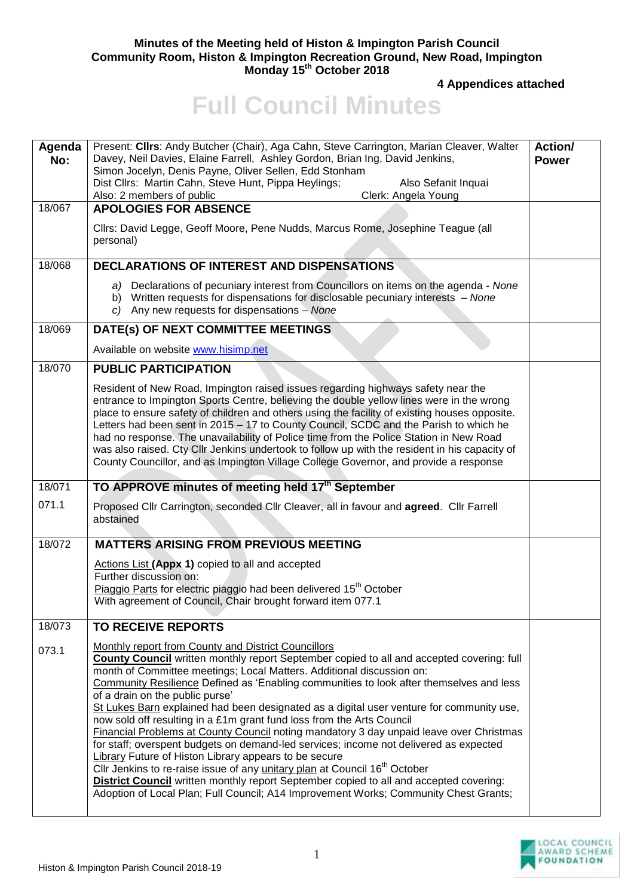## **Minutes of the Meeting held of Histon & Impington Parish Council Community Room, Histon & Impington Recreation Ground, New Road, Impington Monday 15th October 2018**

**4 Appendices attached**

## **Full Council Minutes**

| Agenda<br>No: | Present: Clirs: Andy Butcher (Chair), Aga Cahn, Steve Carrington, Marian Cleaver, Walter<br>Davey, Neil Davies, Elaine Farrell, Ashley Gordon, Brian Ing, David Jenkins,<br>Simon Jocelyn, Denis Payne, Oliver Sellen, Edd Stonham                                                                                                                                                                                                                                                                                                                                                                                                                                                                                                                                                      | <b>Action/</b><br><b>Power</b> |
|---------------|-----------------------------------------------------------------------------------------------------------------------------------------------------------------------------------------------------------------------------------------------------------------------------------------------------------------------------------------------------------------------------------------------------------------------------------------------------------------------------------------------------------------------------------------------------------------------------------------------------------------------------------------------------------------------------------------------------------------------------------------------------------------------------------------|--------------------------------|
|               | Dist Cllrs: Martin Cahn, Steve Hunt, Pippa Heylings;<br>Also Sefanit Inquai<br>Also: 2 members of public<br>Clerk: Angela Young                                                                                                                                                                                                                                                                                                                                                                                                                                                                                                                                                                                                                                                         |                                |
| 18/067        | <b>APOLOGIES FOR ABSENCE</b>                                                                                                                                                                                                                                                                                                                                                                                                                                                                                                                                                                                                                                                                                                                                                            |                                |
|               | Cllrs: David Legge, Geoff Moore, Pene Nudds, Marcus Rome, Josephine Teague (all<br>personal)                                                                                                                                                                                                                                                                                                                                                                                                                                                                                                                                                                                                                                                                                            |                                |
| 18/068        | <b>DECLARATIONS OF INTEREST AND DISPENSATIONS</b>                                                                                                                                                                                                                                                                                                                                                                                                                                                                                                                                                                                                                                                                                                                                       |                                |
|               | a) Declarations of pecuniary interest from Councillors on items on the agenda - None<br>b) Written requests for dispensations for disclosable pecuniary interests - None<br>$c)$ Any new requests for dispensations - None                                                                                                                                                                                                                                                                                                                                                                                                                                                                                                                                                              |                                |
| 18/069        | DATE(s) OF NEXT COMMITTEE MEETINGS                                                                                                                                                                                                                                                                                                                                                                                                                                                                                                                                                                                                                                                                                                                                                      |                                |
|               | Available on website www.hisimp.net                                                                                                                                                                                                                                                                                                                                                                                                                                                                                                                                                                                                                                                                                                                                                     |                                |
| 18/070        | <b>PUBLIC PARTICIPATION</b>                                                                                                                                                                                                                                                                                                                                                                                                                                                                                                                                                                                                                                                                                                                                                             |                                |
|               | Resident of New Road, Impington raised issues regarding highways safety near the<br>entrance to Impington Sports Centre, believing the double yellow lines were in the wrong<br>place to ensure safety of children and others using the facility of existing houses opposite.<br>Letters had been sent in 2015 - 17 to County Council, SCDC and the Parish to which he<br>had no response. The unavailability of Police time from the Police Station in New Road<br>was also raised. Cty Cllr Jenkins undertook to follow up with the resident in his capacity of<br>County Councillor, and as Impington Village College Governor, and provide a response                                                                                                                               |                                |
| 18/071        | TO APPROVE minutes of meeting held 17 <sup>th</sup> September                                                                                                                                                                                                                                                                                                                                                                                                                                                                                                                                                                                                                                                                                                                           |                                |
| 071.1         | Proposed Cllr Carrington, seconded Cllr Cleaver, all in favour and agreed. Cllr Farrell<br>abstained                                                                                                                                                                                                                                                                                                                                                                                                                                                                                                                                                                                                                                                                                    |                                |
| 18/072        | <b>MATTERS ARISING FROM PREVIOUS MEETING</b>                                                                                                                                                                                                                                                                                                                                                                                                                                                                                                                                                                                                                                                                                                                                            |                                |
|               | Actions List (Appx 1) copied to all and accepted                                                                                                                                                                                                                                                                                                                                                                                                                                                                                                                                                                                                                                                                                                                                        |                                |
|               | Further discussion on:<br>Piaggio Parts for electric piaggio had been delivered 15 <sup>th</sup> October                                                                                                                                                                                                                                                                                                                                                                                                                                                                                                                                                                                                                                                                                |                                |
|               | With agreement of Council, Chair brought forward item 077.1                                                                                                                                                                                                                                                                                                                                                                                                                                                                                                                                                                                                                                                                                                                             |                                |
| 18/073        | <b>TO RECEIVE REPORTS</b>                                                                                                                                                                                                                                                                                                                                                                                                                                                                                                                                                                                                                                                                                                                                                               |                                |
| 073.1         | Monthly report from County and District Councillors<br><b>County Council</b> written monthly report September copied to all and accepted covering: full<br>month of Committee meetings; Local Matters. Additional discussion on:<br>Community Resilience Defined as 'Enabling communities to look after themselves and less<br>of a drain on the public purse'<br>St Lukes Barn explained had been designated as a digital user venture for community use,<br>now sold off resulting in a £1m grant fund loss from the Arts Council<br>Financial Problems at County Council noting mandatory 3 day unpaid leave over Christmas<br>for staff; overspent budgets on demand-led services; income not delivered as expected<br><b>Library Future of Histon Library appears to be secure</b> |                                |
|               | Cllr Jenkins to re-raise issue of any <i>unitary plan</i> at Council 16 <sup>th</sup> October<br><b>District Council</b> written monthly report September copied to all and accepted covering:<br>Adoption of Local Plan; Full Council; A14 Improvement Works; Community Chest Grants;                                                                                                                                                                                                                                                                                                                                                                                                                                                                                                  |                                |

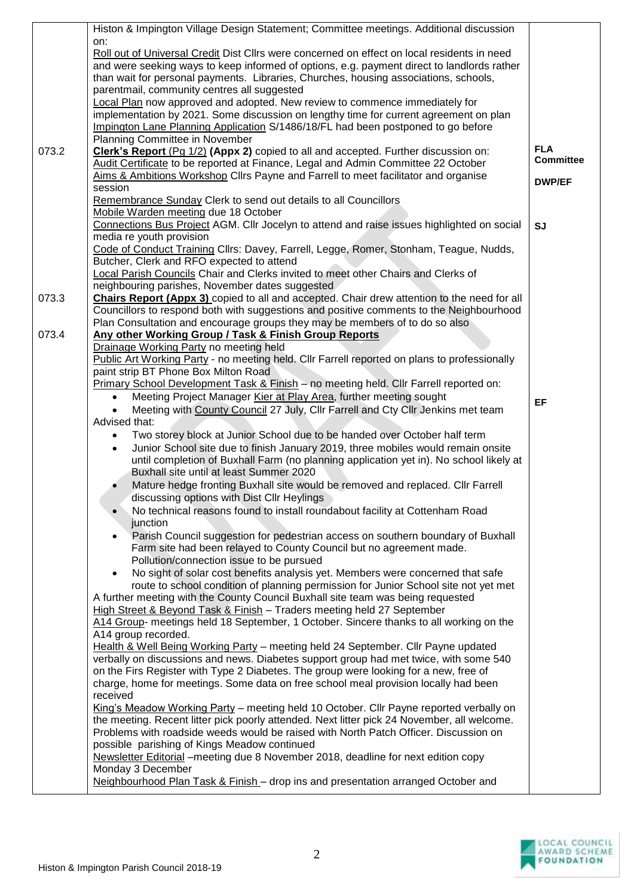| Roll out of Universal Credit Dist Cllrs were concerned on effect on local residents in need<br>and were seeking ways to keep informed of options, e.g. payment direct to landlords rather<br>than wait for personal payments. Libraries, Churches, housing associations, schools,<br>parentmail, community centres all suggested<br>Local Plan now approved and adopted. New review to commence immediately for<br>implementation by 2021. Some discussion on lengthy time for current agreement on plan<br>Impington Lane Planning Application S/1486/18/FL had been postponed to go before<br>Planning Committee in November<br><b>FLA</b><br>Clerk's Report (Pg 1/2) (Appx 2) copied to all and accepted. Further discussion on:<br>073.2<br><b>Committee</b><br>Audit Certificate to be reported at Finance, Legal and Admin Committee 22 October<br>Aims & Ambitions Workshop Cllrs Payne and Farrell to meet facilitator and organise<br><b>DWP/EF</b><br>session<br>Remembrance Sunday Clerk to send out details to all Councillors<br>Mobile Warden meeting due 18 October<br>Connections Bus Project AGM. Cllr Jocelyn to attend and raise issues highlighted on social<br><b>SJ</b><br>media re youth provision<br>Code of Conduct Training Cllrs: Davey, Farrell, Legge, Romer, Stonham, Teague, Nudds,<br>Butcher, Clerk and RFO expected to attend<br>Local Parish Councils Chair and Clerks invited to meet other Chairs and Clerks of<br>neighbouring parishes, November dates suggested<br><b>Chairs Report (Appx 3)</b> copied to all and accepted. Chair drew attention to the need for all<br>073.3<br>Councillors to respond both with suggestions and positive comments to the Neighbourhood<br>Plan Consultation and encourage groups they may be members of to do so also<br>073.4<br>Any other Working Group / Task & Finish Group Reports<br>Drainage Working Party no meeting held<br>Public Art Working Party - no meeting held. Cllr Farrell reported on plans to professionally<br>paint strip BT Phone Box Milton Road<br>Primary School Development Task & Finish - no meeting held. Cllr Farrell reported on:<br>Meeting Project Manager Kier at Play Area, further meeting sought<br>EF<br>Meeting with County Council 27 July, Cllr Farrell and Cty Cllr Jenkins met team<br>Advised that:<br>Two storey block at Junior School due to be handed over October half term<br>Junior School site due to finish January 2019, three mobiles would remain onsite<br>$\bullet$<br>until completion of Buxhall Farm (no planning application yet in). No school likely at<br>Buxhall site until at least Summer 2020<br>Mature hedge fronting Buxhall site would be removed and replaced. Cllr Farrell<br>discussing options with Dist Cllr Heylings<br>No technical reasons found to install roundabout facility at Cottenham Road<br>junction<br>Parish Council suggestion for pedestrian access on southern boundary of Buxhall<br>$\bullet$<br>Farm site had been relayed to County Council but no agreement made.<br>Pollution/connection issue to be pursued<br>No sight of solar cost benefits analysis yet. Members were concerned that safe<br>route to school condition of planning permission for Junior School site not yet met<br>A further meeting with the County Council Buxhall site team was being requested<br>High Street & Beyond Task & Finish - Traders meeting held 27 September<br>A14 Group- meetings held 18 September, 1 October. Sincere thanks to all working on the<br>A14 group recorded.<br>Health & Well Being Working Party - meeting held 24 September. Cllr Payne updated<br>verbally on discussions and news. Diabetes support group had met twice, with some 540<br>on the Firs Register with Type 2 Diabetes. The group were looking for a new, free of<br>charge, home for meetings. Some data on free school meal provision locally had been<br>received<br>King's Meadow Working Party - meeting held 10 October. Cllr Payne reported verbally on<br>the meeting. Recent litter pick poorly attended. Next litter pick 24 November, all welcome.<br>Problems with roadside weeds would be raised with North Patch Officer. Discussion on<br>possible parishing of Kings Meadow continued<br>Newsletter Editorial - meeting due 8 November 2018, deadline for next edition copy<br>Monday 3 December<br>Neighbourhood Plan Task & Finish - drop ins and presentation arranged October and | Histon & Impington Village Design Statement; Committee meetings. Additional discussion |  |
|----------------------------------------------------------------------------------------------------------------------------------------------------------------------------------------------------------------------------------------------------------------------------------------------------------------------------------------------------------------------------------------------------------------------------------------------------------------------------------------------------------------------------------------------------------------------------------------------------------------------------------------------------------------------------------------------------------------------------------------------------------------------------------------------------------------------------------------------------------------------------------------------------------------------------------------------------------------------------------------------------------------------------------------------------------------------------------------------------------------------------------------------------------------------------------------------------------------------------------------------------------------------------------------------------------------------------------------------------------------------------------------------------------------------------------------------------------------------------------------------------------------------------------------------------------------------------------------------------------------------------------------------------------------------------------------------------------------------------------------------------------------------------------------------------------------------------------------------------------------------------------------------------------------------------------------------------------------------------------------------------------------------------------------------------------------------------------------------------------------------------------------------------------------------------------------------------------------------------------------------------------------------------------------------------------------------------------------------------------------------------------------------------------------------------------------------------------------------------------------------------------------------------------------------------------------------------------------------------------------------------------------------------------------------------------------------------------------------------------------------------------------------------------------------------------------------------------------------------------------------------------------------------------------------------------------------------------------------------------------------------------------------------------------------------------------------------------------------------------------------------------------------------------------------------------------------------------------------------------------------------------------------------------------------------------------------------------------------------------------------------------------------------------------------------------------------------------------------------------------------------------------------------------------------------------------------------------------------------------------------------------------------------------------------------------------------------------------------------------------------------------------------------------------------------------------------------------------------------------------------------------------------------------------------------------------------------------------------------------------------------------------------------------------------------------------------------------------------------------------------------------------------------------------------------------------------------------------------------------------------------------------------------------------------------------------------------------------------------------------------------------------------------------------------------------------------------------------|----------------------------------------------------------------------------------------|--|
|                                                                                                                                                                                                                                                                                                                                                                                                                                                                                                                                                                                                                                                                                                                                                                                                                                                                                                                                                                                                                                                                                                                                                                                                                                                                                                                                                                                                                                                                                                                                                                                                                                                                                                                                                                                                                                                                                                                                                                                                                                                                                                                                                                                                                                                                                                                                                                                                                                                                                                                                                                                                                                                                                                                                                                                                                                                                                                                                                                                                                                                                                                                                                                                                                                                                                                                                                                                                                                                                                                                                                                                                                                                                                                                                                                                                                                                                                                                                                                                                                                                                                                                                                                                                                                                                                                                                                                                                                                                                | on:                                                                                    |  |
|                                                                                                                                                                                                                                                                                                                                                                                                                                                                                                                                                                                                                                                                                                                                                                                                                                                                                                                                                                                                                                                                                                                                                                                                                                                                                                                                                                                                                                                                                                                                                                                                                                                                                                                                                                                                                                                                                                                                                                                                                                                                                                                                                                                                                                                                                                                                                                                                                                                                                                                                                                                                                                                                                                                                                                                                                                                                                                                                                                                                                                                                                                                                                                                                                                                                                                                                                                                                                                                                                                                                                                                                                                                                                                                                                                                                                                                                                                                                                                                                                                                                                                                                                                                                                                                                                                                                                                                                                                                                |                                                                                        |  |
|                                                                                                                                                                                                                                                                                                                                                                                                                                                                                                                                                                                                                                                                                                                                                                                                                                                                                                                                                                                                                                                                                                                                                                                                                                                                                                                                                                                                                                                                                                                                                                                                                                                                                                                                                                                                                                                                                                                                                                                                                                                                                                                                                                                                                                                                                                                                                                                                                                                                                                                                                                                                                                                                                                                                                                                                                                                                                                                                                                                                                                                                                                                                                                                                                                                                                                                                                                                                                                                                                                                                                                                                                                                                                                                                                                                                                                                                                                                                                                                                                                                                                                                                                                                                                                                                                                                                                                                                                                                                |                                                                                        |  |
|                                                                                                                                                                                                                                                                                                                                                                                                                                                                                                                                                                                                                                                                                                                                                                                                                                                                                                                                                                                                                                                                                                                                                                                                                                                                                                                                                                                                                                                                                                                                                                                                                                                                                                                                                                                                                                                                                                                                                                                                                                                                                                                                                                                                                                                                                                                                                                                                                                                                                                                                                                                                                                                                                                                                                                                                                                                                                                                                                                                                                                                                                                                                                                                                                                                                                                                                                                                                                                                                                                                                                                                                                                                                                                                                                                                                                                                                                                                                                                                                                                                                                                                                                                                                                                                                                                                                                                                                                                                                |                                                                                        |  |
|                                                                                                                                                                                                                                                                                                                                                                                                                                                                                                                                                                                                                                                                                                                                                                                                                                                                                                                                                                                                                                                                                                                                                                                                                                                                                                                                                                                                                                                                                                                                                                                                                                                                                                                                                                                                                                                                                                                                                                                                                                                                                                                                                                                                                                                                                                                                                                                                                                                                                                                                                                                                                                                                                                                                                                                                                                                                                                                                                                                                                                                                                                                                                                                                                                                                                                                                                                                                                                                                                                                                                                                                                                                                                                                                                                                                                                                                                                                                                                                                                                                                                                                                                                                                                                                                                                                                                                                                                                                                |                                                                                        |  |
|                                                                                                                                                                                                                                                                                                                                                                                                                                                                                                                                                                                                                                                                                                                                                                                                                                                                                                                                                                                                                                                                                                                                                                                                                                                                                                                                                                                                                                                                                                                                                                                                                                                                                                                                                                                                                                                                                                                                                                                                                                                                                                                                                                                                                                                                                                                                                                                                                                                                                                                                                                                                                                                                                                                                                                                                                                                                                                                                                                                                                                                                                                                                                                                                                                                                                                                                                                                                                                                                                                                                                                                                                                                                                                                                                                                                                                                                                                                                                                                                                                                                                                                                                                                                                                                                                                                                                                                                                                                                |                                                                                        |  |
|                                                                                                                                                                                                                                                                                                                                                                                                                                                                                                                                                                                                                                                                                                                                                                                                                                                                                                                                                                                                                                                                                                                                                                                                                                                                                                                                                                                                                                                                                                                                                                                                                                                                                                                                                                                                                                                                                                                                                                                                                                                                                                                                                                                                                                                                                                                                                                                                                                                                                                                                                                                                                                                                                                                                                                                                                                                                                                                                                                                                                                                                                                                                                                                                                                                                                                                                                                                                                                                                                                                                                                                                                                                                                                                                                                                                                                                                                                                                                                                                                                                                                                                                                                                                                                                                                                                                                                                                                                                                |                                                                                        |  |
|                                                                                                                                                                                                                                                                                                                                                                                                                                                                                                                                                                                                                                                                                                                                                                                                                                                                                                                                                                                                                                                                                                                                                                                                                                                                                                                                                                                                                                                                                                                                                                                                                                                                                                                                                                                                                                                                                                                                                                                                                                                                                                                                                                                                                                                                                                                                                                                                                                                                                                                                                                                                                                                                                                                                                                                                                                                                                                                                                                                                                                                                                                                                                                                                                                                                                                                                                                                                                                                                                                                                                                                                                                                                                                                                                                                                                                                                                                                                                                                                                                                                                                                                                                                                                                                                                                                                                                                                                                                                |                                                                                        |  |
|                                                                                                                                                                                                                                                                                                                                                                                                                                                                                                                                                                                                                                                                                                                                                                                                                                                                                                                                                                                                                                                                                                                                                                                                                                                                                                                                                                                                                                                                                                                                                                                                                                                                                                                                                                                                                                                                                                                                                                                                                                                                                                                                                                                                                                                                                                                                                                                                                                                                                                                                                                                                                                                                                                                                                                                                                                                                                                                                                                                                                                                                                                                                                                                                                                                                                                                                                                                                                                                                                                                                                                                                                                                                                                                                                                                                                                                                                                                                                                                                                                                                                                                                                                                                                                                                                                                                                                                                                                                                |                                                                                        |  |
|                                                                                                                                                                                                                                                                                                                                                                                                                                                                                                                                                                                                                                                                                                                                                                                                                                                                                                                                                                                                                                                                                                                                                                                                                                                                                                                                                                                                                                                                                                                                                                                                                                                                                                                                                                                                                                                                                                                                                                                                                                                                                                                                                                                                                                                                                                                                                                                                                                                                                                                                                                                                                                                                                                                                                                                                                                                                                                                                                                                                                                                                                                                                                                                                                                                                                                                                                                                                                                                                                                                                                                                                                                                                                                                                                                                                                                                                                                                                                                                                                                                                                                                                                                                                                                                                                                                                                                                                                                                                |                                                                                        |  |
|                                                                                                                                                                                                                                                                                                                                                                                                                                                                                                                                                                                                                                                                                                                                                                                                                                                                                                                                                                                                                                                                                                                                                                                                                                                                                                                                                                                                                                                                                                                                                                                                                                                                                                                                                                                                                                                                                                                                                                                                                                                                                                                                                                                                                                                                                                                                                                                                                                                                                                                                                                                                                                                                                                                                                                                                                                                                                                                                                                                                                                                                                                                                                                                                                                                                                                                                                                                                                                                                                                                                                                                                                                                                                                                                                                                                                                                                                                                                                                                                                                                                                                                                                                                                                                                                                                                                                                                                                                                                |                                                                                        |  |
|                                                                                                                                                                                                                                                                                                                                                                                                                                                                                                                                                                                                                                                                                                                                                                                                                                                                                                                                                                                                                                                                                                                                                                                                                                                                                                                                                                                                                                                                                                                                                                                                                                                                                                                                                                                                                                                                                                                                                                                                                                                                                                                                                                                                                                                                                                                                                                                                                                                                                                                                                                                                                                                                                                                                                                                                                                                                                                                                                                                                                                                                                                                                                                                                                                                                                                                                                                                                                                                                                                                                                                                                                                                                                                                                                                                                                                                                                                                                                                                                                                                                                                                                                                                                                                                                                                                                                                                                                                                                |                                                                                        |  |
|                                                                                                                                                                                                                                                                                                                                                                                                                                                                                                                                                                                                                                                                                                                                                                                                                                                                                                                                                                                                                                                                                                                                                                                                                                                                                                                                                                                                                                                                                                                                                                                                                                                                                                                                                                                                                                                                                                                                                                                                                                                                                                                                                                                                                                                                                                                                                                                                                                                                                                                                                                                                                                                                                                                                                                                                                                                                                                                                                                                                                                                                                                                                                                                                                                                                                                                                                                                                                                                                                                                                                                                                                                                                                                                                                                                                                                                                                                                                                                                                                                                                                                                                                                                                                                                                                                                                                                                                                                                                |                                                                                        |  |
|                                                                                                                                                                                                                                                                                                                                                                                                                                                                                                                                                                                                                                                                                                                                                                                                                                                                                                                                                                                                                                                                                                                                                                                                                                                                                                                                                                                                                                                                                                                                                                                                                                                                                                                                                                                                                                                                                                                                                                                                                                                                                                                                                                                                                                                                                                                                                                                                                                                                                                                                                                                                                                                                                                                                                                                                                                                                                                                                                                                                                                                                                                                                                                                                                                                                                                                                                                                                                                                                                                                                                                                                                                                                                                                                                                                                                                                                                                                                                                                                                                                                                                                                                                                                                                                                                                                                                                                                                                                                |                                                                                        |  |
|                                                                                                                                                                                                                                                                                                                                                                                                                                                                                                                                                                                                                                                                                                                                                                                                                                                                                                                                                                                                                                                                                                                                                                                                                                                                                                                                                                                                                                                                                                                                                                                                                                                                                                                                                                                                                                                                                                                                                                                                                                                                                                                                                                                                                                                                                                                                                                                                                                                                                                                                                                                                                                                                                                                                                                                                                                                                                                                                                                                                                                                                                                                                                                                                                                                                                                                                                                                                                                                                                                                                                                                                                                                                                                                                                                                                                                                                                                                                                                                                                                                                                                                                                                                                                                                                                                                                                                                                                                                                |                                                                                        |  |
|                                                                                                                                                                                                                                                                                                                                                                                                                                                                                                                                                                                                                                                                                                                                                                                                                                                                                                                                                                                                                                                                                                                                                                                                                                                                                                                                                                                                                                                                                                                                                                                                                                                                                                                                                                                                                                                                                                                                                                                                                                                                                                                                                                                                                                                                                                                                                                                                                                                                                                                                                                                                                                                                                                                                                                                                                                                                                                                                                                                                                                                                                                                                                                                                                                                                                                                                                                                                                                                                                                                                                                                                                                                                                                                                                                                                                                                                                                                                                                                                                                                                                                                                                                                                                                                                                                                                                                                                                                                                |                                                                                        |  |
|                                                                                                                                                                                                                                                                                                                                                                                                                                                                                                                                                                                                                                                                                                                                                                                                                                                                                                                                                                                                                                                                                                                                                                                                                                                                                                                                                                                                                                                                                                                                                                                                                                                                                                                                                                                                                                                                                                                                                                                                                                                                                                                                                                                                                                                                                                                                                                                                                                                                                                                                                                                                                                                                                                                                                                                                                                                                                                                                                                                                                                                                                                                                                                                                                                                                                                                                                                                                                                                                                                                                                                                                                                                                                                                                                                                                                                                                                                                                                                                                                                                                                                                                                                                                                                                                                                                                                                                                                                                                |                                                                                        |  |
|                                                                                                                                                                                                                                                                                                                                                                                                                                                                                                                                                                                                                                                                                                                                                                                                                                                                                                                                                                                                                                                                                                                                                                                                                                                                                                                                                                                                                                                                                                                                                                                                                                                                                                                                                                                                                                                                                                                                                                                                                                                                                                                                                                                                                                                                                                                                                                                                                                                                                                                                                                                                                                                                                                                                                                                                                                                                                                                                                                                                                                                                                                                                                                                                                                                                                                                                                                                                                                                                                                                                                                                                                                                                                                                                                                                                                                                                                                                                                                                                                                                                                                                                                                                                                                                                                                                                                                                                                                                                |                                                                                        |  |
|                                                                                                                                                                                                                                                                                                                                                                                                                                                                                                                                                                                                                                                                                                                                                                                                                                                                                                                                                                                                                                                                                                                                                                                                                                                                                                                                                                                                                                                                                                                                                                                                                                                                                                                                                                                                                                                                                                                                                                                                                                                                                                                                                                                                                                                                                                                                                                                                                                                                                                                                                                                                                                                                                                                                                                                                                                                                                                                                                                                                                                                                                                                                                                                                                                                                                                                                                                                                                                                                                                                                                                                                                                                                                                                                                                                                                                                                                                                                                                                                                                                                                                                                                                                                                                                                                                                                                                                                                                                                |                                                                                        |  |
|                                                                                                                                                                                                                                                                                                                                                                                                                                                                                                                                                                                                                                                                                                                                                                                                                                                                                                                                                                                                                                                                                                                                                                                                                                                                                                                                                                                                                                                                                                                                                                                                                                                                                                                                                                                                                                                                                                                                                                                                                                                                                                                                                                                                                                                                                                                                                                                                                                                                                                                                                                                                                                                                                                                                                                                                                                                                                                                                                                                                                                                                                                                                                                                                                                                                                                                                                                                                                                                                                                                                                                                                                                                                                                                                                                                                                                                                                                                                                                                                                                                                                                                                                                                                                                                                                                                                                                                                                                                                |                                                                                        |  |
|                                                                                                                                                                                                                                                                                                                                                                                                                                                                                                                                                                                                                                                                                                                                                                                                                                                                                                                                                                                                                                                                                                                                                                                                                                                                                                                                                                                                                                                                                                                                                                                                                                                                                                                                                                                                                                                                                                                                                                                                                                                                                                                                                                                                                                                                                                                                                                                                                                                                                                                                                                                                                                                                                                                                                                                                                                                                                                                                                                                                                                                                                                                                                                                                                                                                                                                                                                                                                                                                                                                                                                                                                                                                                                                                                                                                                                                                                                                                                                                                                                                                                                                                                                                                                                                                                                                                                                                                                                                                |                                                                                        |  |
|                                                                                                                                                                                                                                                                                                                                                                                                                                                                                                                                                                                                                                                                                                                                                                                                                                                                                                                                                                                                                                                                                                                                                                                                                                                                                                                                                                                                                                                                                                                                                                                                                                                                                                                                                                                                                                                                                                                                                                                                                                                                                                                                                                                                                                                                                                                                                                                                                                                                                                                                                                                                                                                                                                                                                                                                                                                                                                                                                                                                                                                                                                                                                                                                                                                                                                                                                                                                                                                                                                                                                                                                                                                                                                                                                                                                                                                                                                                                                                                                                                                                                                                                                                                                                                                                                                                                                                                                                                                                |                                                                                        |  |
|                                                                                                                                                                                                                                                                                                                                                                                                                                                                                                                                                                                                                                                                                                                                                                                                                                                                                                                                                                                                                                                                                                                                                                                                                                                                                                                                                                                                                                                                                                                                                                                                                                                                                                                                                                                                                                                                                                                                                                                                                                                                                                                                                                                                                                                                                                                                                                                                                                                                                                                                                                                                                                                                                                                                                                                                                                                                                                                                                                                                                                                                                                                                                                                                                                                                                                                                                                                                                                                                                                                                                                                                                                                                                                                                                                                                                                                                                                                                                                                                                                                                                                                                                                                                                                                                                                                                                                                                                                                                |                                                                                        |  |
|                                                                                                                                                                                                                                                                                                                                                                                                                                                                                                                                                                                                                                                                                                                                                                                                                                                                                                                                                                                                                                                                                                                                                                                                                                                                                                                                                                                                                                                                                                                                                                                                                                                                                                                                                                                                                                                                                                                                                                                                                                                                                                                                                                                                                                                                                                                                                                                                                                                                                                                                                                                                                                                                                                                                                                                                                                                                                                                                                                                                                                                                                                                                                                                                                                                                                                                                                                                                                                                                                                                                                                                                                                                                                                                                                                                                                                                                                                                                                                                                                                                                                                                                                                                                                                                                                                                                                                                                                                                                |                                                                                        |  |
|                                                                                                                                                                                                                                                                                                                                                                                                                                                                                                                                                                                                                                                                                                                                                                                                                                                                                                                                                                                                                                                                                                                                                                                                                                                                                                                                                                                                                                                                                                                                                                                                                                                                                                                                                                                                                                                                                                                                                                                                                                                                                                                                                                                                                                                                                                                                                                                                                                                                                                                                                                                                                                                                                                                                                                                                                                                                                                                                                                                                                                                                                                                                                                                                                                                                                                                                                                                                                                                                                                                                                                                                                                                                                                                                                                                                                                                                                                                                                                                                                                                                                                                                                                                                                                                                                                                                                                                                                                                                |                                                                                        |  |
|                                                                                                                                                                                                                                                                                                                                                                                                                                                                                                                                                                                                                                                                                                                                                                                                                                                                                                                                                                                                                                                                                                                                                                                                                                                                                                                                                                                                                                                                                                                                                                                                                                                                                                                                                                                                                                                                                                                                                                                                                                                                                                                                                                                                                                                                                                                                                                                                                                                                                                                                                                                                                                                                                                                                                                                                                                                                                                                                                                                                                                                                                                                                                                                                                                                                                                                                                                                                                                                                                                                                                                                                                                                                                                                                                                                                                                                                                                                                                                                                                                                                                                                                                                                                                                                                                                                                                                                                                                                                |                                                                                        |  |
|                                                                                                                                                                                                                                                                                                                                                                                                                                                                                                                                                                                                                                                                                                                                                                                                                                                                                                                                                                                                                                                                                                                                                                                                                                                                                                                                                                                                                                                                                                                                                                                                                                                                                                                                                                                                                                                                                                                                                                                                                                                                                                                                                                                                                                                                                                                                                                                                                                                                                                                                                                                                                                                                                                                                                                                                                                                                                                                                                                                                                                                                                                                                                                                                                                                                                                                                                                                                                                                                                                                                                                                                                                                                                                                                                                                                                                                                                                                                                                                                                                                                                                                                                                                                                                                                                                                                                                                                                                                                |                                                                                        |  |
|                                                                                                                                                                                                                                                                                                                                                                                                                                                                                                                                                                                                                                                                                                                                                                                                                                                                                                                                                                                                                                                                                                                                                                                                                                                                                                                                                                                                                                                                                                                                                                                                                                                                                                                                                                                                                                                                                                                                                                                                                                                                                                                                                                                                                                                                                                                                                                                                                                                                                                                                                                                                                                                                                                                                                                                                                                                                                                                                                                                                                                                                                                                                                                                                                                                                                                                                                                                                                                                                                                                                                                                                                                                                                                                                                                                                                                                                                                                                                                                                                                                                                                                                                                                                                                                                                                                                                                                                                                                                |                                                                                        |  |
|                                                                                                                                                                                                                                                                                                                                                                                                                                                                                                                                                                                                                                                                                                                                                                                                                                                                                                                                                                                                                                                                                                                                                                                                                                                                                                                                                                                                                                                                                                                                                                                                                                                                                                                                                                                                                                                                                                                                                                                                                                                                                                                                                                                                                                                                                                                                                                                                                                                                                                                                                                                                                                                                                                                                                                                                                                                                                                                                                                                                                                                                                                                                                                                                                                                                                                                                                                                                                                                                                                                                                                                                                                                                                                                                                                                                                                                                                                                                                                                                                                                                                                                                                                                                                                                                                                                                                                                                                                                                |                                                                                        |  |
|                                                                                                                                                                                                                                                                                                                                                                                                                                                                                                                                                                                                                                                                                                                                                                                                                                                                                                                                                                                                                                                                                                                                                                                                                                                                                                                                                                                                                                                                                                                                                                                                                                                                                                                                                                                                                                                                                                                                                                                                                                                                                                                                                                                                                                                                                                                                                                                                                                                                                                                                                                                                                                                                                                                                                                                                                                                                                                                                                                                                                                                                                                                                                                                                                                                                                                                                                                                                                                                                                                                                                                                                                                                                                                                                                                                                                                                                                                                                                                                                                                                                                                                                                                                                                                                                                                                                                                                                                                                                |                                                                                        |  |
|                                                                                                                                                                                                                                                                                                                                                                                                                                                                                                                                                                                                                                                                                                                                                                                                                                                                                                                                                                                                                                                                                                                                                                                                                                                                                                                                                                                                                                                                                                                                                                                                                                                                                                                                                                                                                                                                                                                                                                                                                                                                                                                                                                                                                                                                                                                                                                                                                                                                                                                                                                                                                                                                                                                                                                                                                                                                                                                                                                                                                                                                                                                                                                                                                                                                                                                                                                                                                                                                                                                                                                                                                                                                                                                                                                                                                                                                                                                                                                                                                                                                                                                                                                                                                                                                                                                                                                                                                                                                |                                                                                        |  |
|                                                                                                                                                                                                                                                                                                                                                                                                                                                                                                                                                                                                                                                                                                                                                                                                                                                                                                                                                                                                                                                                                                                                                                                                                                                                                                                                                                                                                                                                                                                                                                                                                                                                                                                                                                                                                                                                                                                                                                                                                                                                                                                                                                                                                                                                                                                                                                                                                                                                                                                                                                                                                                                                                                                                                                                                                                                                                                                                                                                                                                                                                                                                                                                                                                                                                                                                                                                                                                                                                                                                                                                                                                                                                                                                                                                                                                                                                                                                                                                                                                                                                                                                                                                                                                                                                                                                                                                                                                                                |                                                                                        |  |
|                                                                                                                                                                                                                                                                                                                                                                                                                                                                                                                                                                                                                                                                                                                                                                                                                                                                                                                                                                                                                                                                                                                                                                                                                                                                                                                                                                                                                                                                                                                                                                                                                                                                                                                                                                                                                                                                                                                                                                                                                                                                                                                                                                                                                                                                                                                                                                                                                                                                                                                                                                                                                                                                                                                                                                                                                                                                                                                                                                                                                                                                                                                                                                                                                                                                                                                                                                                                                                                                                                                                                                                                                                                                                                                                                                                                                                                                                                                                                                                                                                                                                                                                                                                                                                                                                                                                                                                                                                                                |                                                                                        |  |
|                                                                                                                                                                                                                                                                                                                                                                                                                                                                                                                                                                                                                                                                                                                                                                                                                                                                                                                                                                                                                                                                                                                                                                                                                                                                                                                                                                                                                                                                                                                                                                                                                                                                                                                                                                                                                                                                                                                                                                                                                                                                                                                                                                                                                                                                                                                                                                                                                                                                                                                                                                                                                                                                                                                                                                                                                                                                                                                                                                                                                                                                                                                                                                                                                                                                                                                                                                                                                                                                                                                                                                                                                                                                                                                                                                                                                                                                                                                                                                                                                                                                                                                                                                                                                                                                                                                                                                                                                                                                |                                                                                        |  |
|                                                                                                                                                                                                                                                                                                                                                                                                                                                                                                                                                                                                                                                                                                                                                                                                                                                                                                                                                                                                                                                                                                                                                                                                                                                                                                                                                                                                                                                                                                                                                                                                                                                                                                                                                                                                                                                                                                                                                                                                                                                                                                                                                                                                                                                                                                                                                                                                                                                                                                                                                                                                                                                                                                                                                                                                                                                                                                                                                                                                                                                                                                                                                                                                                                                                                                                                                                                                                                                                                                                                                                                                                                                                                                                                                                                                                                                                                                                                                                                                                                                                                                                                                                                                                                                                                                                                                                                                                                                                |                                                                                        |  |
|                                                                                                                                                                                                                                                                                                                                                                                                                                                                                                                                                                                                                                                                                                                                                                                                                                                                                                                                                                                                                                                                                                                                                                                                                                                                                                                                                                                                                                                                                                                                                                                                                                                                                                                                                                                                                                                                                                                                                                                                                                                                                                                                                                                                                                                                                                                                                                                                                                                                                                                                                                                                                                                                                                                                                                                                                                                                                                                                                                                                                                                                                                                                                                                                                                                                                                                                                                                                                                                                                                                                                                                                                                                                                                                                                                                                                                                                                                                                                                                                                                                                                                                                                                                                                                                                                                                                                                                                                                                                |                                                                                        |  |
|                                                                                                                                                                                                                                                                                                                                                                                                                                                                                                                                                                                                                                                                                                                                                                                                                                                                                                                                                                                                                                                                                                                                                                                                                                                                                                                                                                                                                                                                                                                                                                                                                                                                                                                                                                                                                                                                                                                                                                                                                                                                                                                                                                                                                                                                                                                                                                                                                                                                                                                                                                                                                                                                                                                                                                                                                                                                                                                                                                                                                                                                                                                                                                                                                                                                                                                                                                                                                                                                                                                                                                                                                                                                                                                                                                                                                                                                                                                                                                                                                                                                                                                                                                                                                                                                                                                                                                                                                                                                |                                                                                        |  |
|                                                                                                                                                                                                                                                                                                                                                                                                                                                                                                                                                                                                                                                                                                                                                                                                                                                                                                                                                                                                                                                                                                                                                                                                                                                                                                                                                                                                                                                                                                                                                                                                                                                                                                                                                                                                                                                                                                                                                                                                                                                                                                                                                                                                                                                                                                                                                                                                                                                                                                                                                                                                                                                                                                                                                                                                                                                                                                                                                                                                                                                                                                                                                                                                                                                                                                                                                                                                                                                                                                                                                                                                                                                                                                                                                                                                                                                                                                                                                                                                                                                                                                                                                                                                                                                                                                                                                                                                                                                                |                                                                                        |  |
|                                                                                                                                                                                                                                                                                                                                                                                                                                                                                                                                                                                                                                                                                                                                                                                                                                                                                                                                                                                                                                                                                                                                                                                                                                                                                                                                                                                                                                                                                                                                                                                                                                                                                                                                                                                                                                                                                                                                                                                                                                                                                                                                                                                                                                                                                                                                                                                                                                                                                                                                                                                                                                                                                                                                                                                                                                                                                                                                                                                                                                                                                                                                                                                                                                                                                                                                                                                                                                                                                                                                                                                                                                                                                                                                                                                                                                                                                                                                                                                                                                                                                                                                                                                                                                                                                                                                                                                                                                                                |                                                                                        |  |
|                                                                                                                                                                                                                                                                                                                                                                                                                                                                                                                                                                                                                                                                                                                                                                                                                                                                                                                                                                                                                                                                                                                                                                                                                                                                                                                                                                                                                                                                                                                                                                                                                                                                                                                                                                                                                                                                                                                                                                                                                                                                                                                                                                                                                                                                                                                                                                                                                                                                                                                                                                                                                                                                                                                                                                                                                                                                                                                                                                                                                                                                                                                                                                                                                                                                                                                                                                                                                                                                                                                                                                                                                                                                                                                                                                                                                                                                                                                                                                                                                                                                                                                                                                                                                                                                                                                                                                                                                                                                |                                                                                        |  |
|                                                                                                                                                                                                                                                                                                                                                                                                                                                                                                                                                                                                                                                                                                                                                                                                                                                                                                                                                                                                                                                                                                                                                                                                                                                                                                                                                                                                                                                                                                                                                                                                                                                                                                                                                                                                                                                                                                                                                                                                                                                                                                                                                                                                                                                                                                                                                                                                                                                                                                                                                                                                                                                                                                                                                                                                                                                                                                                                                                                                                                                                                                                                                                                                                                                                                                                                                                                                                                                                                                                                                                                                                                                                                                                                                                                                                                                                                                                                                                                                                                                                                                                                                                                                                                                                                                                                                                                                                                                                |                                                                                        |  |
|                                                                                                                                                                                                                                                                                                                                                                                                                                                                                                                                                                                                                                                                                                                                                                                                                                                                                                                                                                                                                                                                                                                                                                                                                                                                                                                                                                                                                                                                                                                                                                                                                                                                                                                                                                                                                                                                                                                                                                                                                                                                                                                                                                                                                                                                                                                                                                                                                                                                                                                                                                                                                                                                                                                                                                                                                                                                                                                                                                                                                                                                                                                                                                                                                                                                                                                                                                                                                                                                                                                                                                                                                                                                                                                                                                                                                                                                                                                                                                                                                                                                                                                                                                                                                                                                                                                                                                                                                                                                |                                                                                        |  |
|                                                                                                                                                                                                                                                                                                                                                                                                                                                                                                                                                                                                                                                                                                                                                                                                                                                                                                                                                                                                                                                                                                                                                                                                                                                                                                                                                                                                                                                                                                                                                                                                                                                                                                                                                                                                                                                                                                                                                                                                                                                                                                                                                                                                                                                                                                                                                                                                                                                                                                                                                                                                                                                                                                                                                                                                                                                                                                                                                                                                                                                                                                                                                                                                                                                                                                                                                                                                                                                                                                                                                                                                                                                                                                                                                                                                                                                                                                                                                                                                                                                                                                                                                                                                                                                                                                                                                                                                                                                                |                                                                                        |  |
|                                                                                                                                                                                                                                                                                                                                                                                                                                                                                                                                                                                                                                                                                                                                                                                                                                                                                                                                                                                                                                                                                                                                                                                                                                                                                                                                                                                                                                                                                                                                                                                                                                                                                                                                                                                                                                                                                                                                                                                                                                                                                                                                                                                                                                                                                                                                                                                                                                                                                                                                                                                                                                                                                                                                                                                                                                                                                                                                                                                                                                                                                                                                                                                                                                                                                                                                                                                                                                                                                                                                                                                                                                                                                                                                                                                                                                                                                                                                                                                                                                                                                                                                                                                                                                                                                                                                                                                                                                                                |                                                                                        |  |
|                                                                                                                                                                                                                                                                                                                                                                                                                                                                                                                                                                                                                                                                                                                                                                                                                                                                                                                                                                                                                                                                                                                                                                                                                                                                                                                                                                                                                                                                                                                                                                                                                                                                                                                                                                                                                                                                                                                                                                                                                                                                                                                                                                                                                                                                                                                                                                                                                                                                                                                                                                                                                                                                                                                                                                                                                                                                                                                                                                                                                                                                                                                                                                                                                                                                                                                                                                                                                                                                                                                                                                                                                                                                                                                                                                                                                                                                                                                                                                                                                                                                                                                                                                                                                                                                                                                                                                                                                                                                |                                                                                        |  |
|                                                                                                                                                                                                                                                                                                                                                                                                                                                                                                                                                                                                                                                                                                                                                                                                                                                                                                                                                                                                                                                                                                                                                                                                                                                                                                                                                                                                                                                                                                                                                                                                                                                                                                                                                                                                                                                                                                                                                                                                                                                                                                                                                                                                                                                                                                                                                                                                                                                                                                                                                                                                                                                                                                                                                                                                                                                                                                                                                                                                                                                                                                                                                                                                                                                                                                                                                                                                                                                                                                                                                                                                                                                                                                                                                                                                                                                                                                                                                                                                                                                                                                                                                                                                                                                                                                                                                                                                                                                                |                                                                                        |  |
|                                                                                                                                                                                                                                                                                                                                                                                                                                                                                                                                                                                                                                                                                                                                                                                                                                                                                                                                                                                                                                                                                                                                                                                                                                                                                                                                                                                                                                                                                                                                                                                                                                                                                                                                                                                                                                                                                                                                                                                                                                                                                                                                                                                                                                                                                                                                                                                                                                                                                                                                                                                                                                                                                                                                                                                                                                                                                                                                                                                                                                                                                                                                                                                                                                                                                                                                                                                                                                                                                                                                                                                                                                                                                                                                                                                                                                                                                                                                                                                                                                                                                                                                                                                                                                                                                                                                                                                                                                                                |                                                                                        |  |
|                                                                                                                                                                                                                                                                                                                                                                                                                                                                                                                                                                                                                                                                                                                                                                                                                                                                                                                                                                                                                                                                                                                                                                                                                                                                                                                                                                                                                                                                                                                                                                                                                                                                                                                                                                                                                                                                                                                                                                                                                                                                                                                                                                                                                                                                                                                                                                                                                                                                                                                                                                                                                                                                                                                                                                                                                                                                                                                                                                                                                                                                                                                                                                                                                                                                                                                                                                                                                                                                                                                                                                                                                                                                                                                                                                                                                                                                                                                                                                                                                                                                                                                                                                                                                                                                                                                                                                                                                                                                |                                                                                        |  |
|                                                                                                                                                                                                                                                                                                                                                                                                                                                                                                                                                                                                                                                                                                                                                                                                                                                                                                                                                                                                                                                                                                                                                                                                                                                                                                                                                                                                                                                                                                                                                                                                                                                                                                                                                                                                                                                                                                                                                                                                                                                                                                                                                                                                                                                                                                                                                                                                                                                                                                                                                                                                                                                                                                                                                                                                                                                                                                                                                                                                                                                                                                                                                                                                                                                                                                                                                                                                                                                                                                                                                                                                                                                                                                                                                                                                                                                                                                                                                                                                                                                                                                                                                                                                                                                                                                                                                                                                                                                                |                                                                                        |  |
|                                                                                                                                                                                                                                                                                                                                                                                                                                                                                                                                                                                                                                                                                                                                                                                                                                                                                                                                                                                                                                                                                                                                                                                                                                                                                                                                                                                                                                                                                                                                                                                                                                                                                                                                                                                                                                                                                                                                                                                                                                                                                                                                                                                                                                                                                                                                                                                                                                                                                                                                                                                                                                                                                                                                                                                                                                                                                                                                                                                                                                                                                                                                                                                                                                                                                                                                                                                                                                                                                                                                                                                                                                                                                                                                                                                                                                                                                                                                                                                                                                                                                                                                                                                                                                                                                                                                                                                                                                                                |                                                                                        |  |
|                                                                                                                                                                                                                                                                                                                                                                                                                                                                                                                                                                                                                                                                                                                                                                                                                                                                                                                                                                                                                                                                                                                                                                                                                                                                                                                                                                                                                                                                                                                                                                                                                                                                                                                                                                                                                                                                                                                                                                                                                                                                                                                                                                                                                                                                                                                                                                                                                                                                                                                                                                                                                                                                                                                                                                                                                                                                                                                                                                                                                                                                                                                                                                                                                                                                                                                                                                                                                                                                                                                                                                                                                                                                                                                                                                                                                                                                                                                                                                                                                                                                                                                                                                                                                                                                                                                                                                                                                                                                |                                                                                        |  |
|                                                                                                                                                                                                                                                                                                                                                                                                                                                                                                                                                                                                                                                                                                                                                                                                                                                                                                                                                                                                                                                                                                                                                                                                                                                                                                                                                                                                                                                                                                                                                                                                                                                                                                                                                                                                                                                                                                                                                                                                                                                                                                                                                                                                                                                                                                                                                                                                                                                                                                                                                                                                                                                                                                                                                                                                                                                                                                                                                                                                                                                                                                                                                                                                                                                                                                                                                                                                                                                                                                                                                                                                                                                                                                                                                                                                                                                                                                                                                                                                                                                                                                                                                                                                                                                                                                                                                                                                                                                                |                                                                                        |  |
|                                                                                                                                                                                                                                                                                                                                                                                                                                                                                                                                                                                                                                                                                                                                                                                                                                                                                                                                                                                                                                                                                                                                                                                                                                                                                                                                                                                                                                                                                                                                                                                                                                                                                                                                                                                                                                                                                                                                                                                                                                                                                                                                                                                                                                                                                                                                                                                                                                                                                                                                                                                                                                                                                                                                                                                                                                                                                                                                                                                                                                                                                                                                                                                                                                                                                                                                                                                                                                                                                                                                                                                                                                                                                                                                                                                                                                                                                                                                                                                                                                                                                                                                                                                                                                                                                                                                                                                                                                                                |                                                                                        |  |
|                                                                                                                                                                                                                                                                                                                                                                                                                                                                                                                                                                                                                                                                                                                                                                                                                                                                                                                                                                                                                                                                                                                                                                                                                                                                                                                                                                                                                                                                                                                                                                                                                                                                                                                                                                                                                                                                                                                                                                                                                                                                                                                                                                                                                                                                                                                                                                                                                                                                                                                                                                                                                                                                                                                                                                                                                                                                                                                                                                                                                                                                                                                                                                                                                                                                                                                                                                                                                                                                                                                                                                                                                                                                                                                                                                                                                                                                                                                                                                                                                                                                                                                                                                                                                                                                                                                                                                                                                                                                |                                                                                        |  |
|                                                                                                                                                                                                                                                                                                                                                                                                                                                                                                                                                                                                                                                                                                                                                                                                                                                                                                                                                                                                                                                                                                                                                                                                                                                                                                                                                                                                                                                                                                                                                                                                                                                                                                                                                                                                                                                                                                                                                                                                                                                                                                                                                                                                                                                                                                                                                                                                                                                                                                                                                                                                                                                                                                                                                                                                                                                                                                                                                                                                                                                                                                                                                                                                                                                                                                                                                                                                                                                                                                                                                                                                                                                                                                                                                                                                                                                                                                                                                                                                                                                                                                                                                                                                                                                                                                                                                                                                                                                                |                                                                                        |  |
|                                                                                                                                                                                                                                                                                                                                                                                                                                                                                                                                                                                                                                                                                                                                                                                                                                                                                                                                                                                                                                                                                                                                                                                                                                                                                                                                                                                                                                                                                                                                                                                                                                                                                                                                                                                                                                                                                                                                                                                                                                                                                                                                                                                                                                                                                                                                                                                                                                                                                                                                                                                                                                                                                                                                                                                                                                                                                                                                                                                                                                                                                                                                                                                                                                                                                                                                                                                                                                                                                                                                                                                                                                                                                                                                                                                                                                                                                                                                                                                                                                                                                                                                                                                                                                                                                                                                                                                                                                                                |                                                                                        |  |

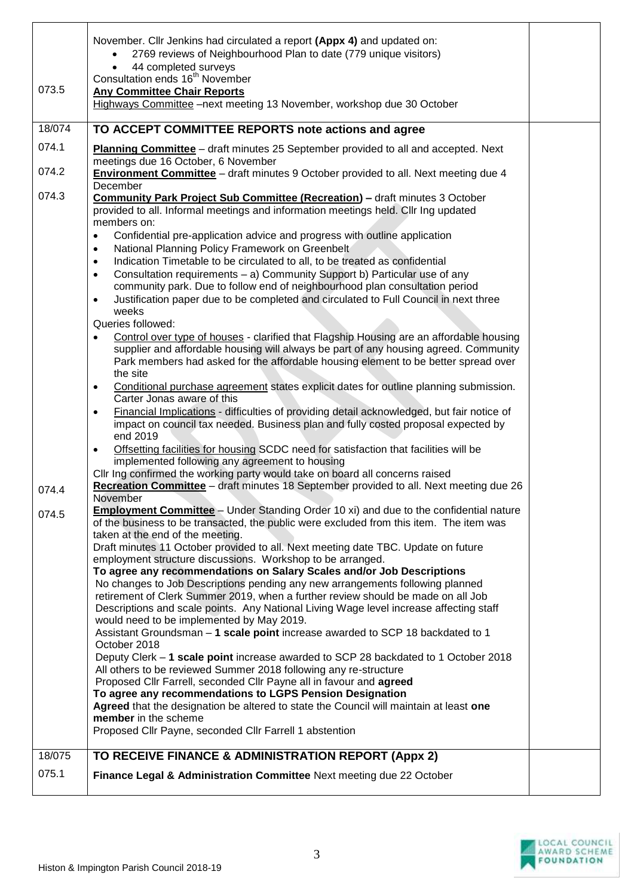|        | November. Cllr Jenkins had circulated a report (Appx 4) and updated on:<br>2769 reviews of Neighbourhood Plan to date (779 unique visitors)                                                              |  |
|--------|----------------------------------------------------------------------------------------------------------------------------------------------------------------------------------------------------------|--|
|        | 44 completed surveys                                                                                                                                                                                     |  |
| 073.5  | Consultation ends 16 <sup>th</sup> November                                                                                                                                                              |  |
|        | <b>Any Committee Chair Reports</b><br>Highways Committee -next meeting 13 November, workshop due 30 October                                                                                              |  |
|        |                                                                                                                                                                                                          |  |
| 18/074 | TO ACCEPT COMMITTEE REPORTS note actions and agree                                                                                                                                                       |  |
| 074.1  | Planning Committee - draft minutes 25 September provided to all and accepted. Next<br>meetings due 16 October, 6 November                                                                                |  |
| 074.2  | <b>Environment Committee</b> - draft minutes 9 October provided to all. Next meeting due 4<br>December                                                                                                   |  |
| 074.3  | <b>Community Park Project Sub Committee (Recreation) - draft minutes 3 October</b>                                                                                                                       |  |
|        | provided to all. Informal meetings and information meetings held. Cllr Ing updated                                                                                                                       |  |
|        | members on:                                                                                                                                                                                              |  |
|        | Confidential pre-application advice and progress with outline application<br>$\bullet$<br>National Planning Policy Framework on Greenbelt<br>$\bullet$                                                   |  |
|        | Indication Timetable to be circulated to all, to be treated as confidential<br>$\bullet$                                                                                                                 |  |
|        | Consultation requirements - a) Community Support b) Particular use of any<br>$\bullet$                                                                                                                   |  |
|        | community park. Due to follow end of neighbourhood plan consultation period                                                                                                                              |  |
|        | Justification paper due to be completed and circulated to Full Council in next three<br>$\bullet$                                                                                                        |  |
|        | weeks<br>Queries followed:                                                                                                                                                                               |  |
|        | Control over type of houses - clarified that Flagship Housing are an affordable housing<br>$\bullet$                                                                                                     |  |
|        | supplier and affordable housing will always be part of any housing agreed. Community                                                                                                                     |  |
|        | Park members had asked for the affordable housing element to be better spread over<br>the site                                                                                                           |  |
|        | Conditional purchase agreement states explicit dates for outline planning submission.<br>$\bullet$                                                                                                       |  |
|        | Carter Jonas aware of this                                                                                                                                                                               |  |
|        | Financial Implications - difficulties of providing detail acknowledged, but fair notice of<br>$\bullet$<br>impact on council tax needed. Business plan and fully costed proposal expected by<br>end 2019 |  |
|        | Offsetting facilities for housing SCDC need for satisfaction that facilities will be<br>$\bullet$                                                                                                        |  |
|        | implemented following any agreement to housing                                                                                                                                                           |  |
|        | Cllr Ing confirmed the working party would take on board all concerns raised                                                                                                                             |  |
| 074.4  | Recreation Committee - draft minutes 18 September provided to all. Next meeting due 26<br>November                                                                                                       |  |
| 074.5  | <b>Employment Committee</b> - Under Standing Order 10 xi) and due to the confidential nature<br>of the business to be transacted, the public were excluded from this item. The item was                  |  |
|        | taken at the end of the meeting.                                                                                                                                                                         |  |
|        | Draft minutes 11 October provided to all. Next meeting date TBC. Update on future                                                                                                                        |  |
|        | employment structure discussions. Workshop to be arranged.<br>To agree any recommendations on Salary Scales and/or Job Descriptions                                                                      |  |
|        | No changes to Job Descriptions pending any new arrangements following planned                                                                                                                            |  |
|        | retirement of Clerk Summer 2019, when a further review should be made on all Job                                                                                                                         |  |
|        | Descriptions and scale points. Any National Living Wage level increase affecting staff                                                                                                                   |  |
|        | would need to be implemented by May 2019.<br>Assistant Groundsman - 1 scale point increase awarded to SCP 18 backdated to 1                                                                              |  |
|        | October 2018                                                                                                                                                                                             |  |
|        | Deputy Clerk - 1 scale point increase awarded to SCP 28 backdated to 1 October 2018                                                                                                                      |  |
|        | All others to be reviewed Summer 2018 following any re-structure                                                                                                                                         |  |
|        | Proposed Cllr Farrell, seconded Cllr Payne all in favour and agreed<br>To agree any recommendations to LGPS Pension Designation                                                                          |  |
|        | Agreed that the designation be altered to state the Council will maintain at least one                                                                                                                   |  |
|        | member in the scheme                                                                                                                                                                                     |  |
|        | Proposed Cllr Payne, seconded Cllr Farrell 1 abstention                                                                                                                                                  |  |
| 18/075 | TO RECEIVE FINANCE & ADMINISTRATION REPORT (Appx 2)                                                                                                                                                      |  |
| 075.1  | Finance Legal & Administration Committee Next meeting due 22 October                                                                                                                                     |  |
|        |                                                                                                                                                                                                          |  |

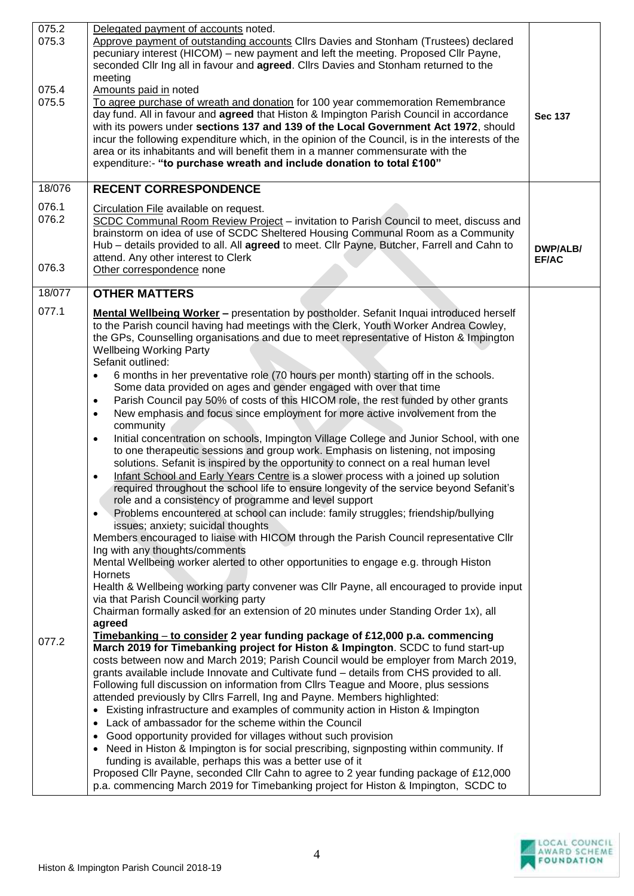| 075.2  | Delegated payment of accounts noted.                                                                                                                                                       |                |
|--------|--------------------------------------------------------------------------------------------------------------------------------------------------------------------------------------------|----------------|
| 075.3  | Approve payment of outstanding accounts Cllrs Davies and Stonham (Trustees) declared                                                                                                       |                |
|        | pecuniary interest (HICOM) - new payment and left the meeting. Proposed Cllr Payne,                                                                                                        |                |
|        | seconded Cllr Ing all in favour and agreed. Cllrs Davies and Stonham returned to the<br>meeting                                                                                            |                |
| 075.4  | Amounts paid in noted                                                                                                                                                                      |                |
| 075.5  | To agree purchase of wreath and donation for 100 year commemoration Remembrance                                                                                                            |                |
|        | day fund. All in favour and agreed that Histon & Impington Parish Council in accordance                                                                                                    | <b>Sec 137</b> |
|        | with its powers under sections 137 and 139 of the Local Government Act 1972, should                                                                                                        |                |
|        | incur the following expenditure which, in the opinion of the Council, is in the interests of the                                                                                           |                |
|        | area or its inhabitants and will benefit them in a manner commensurate with the<br>expenditure:- "to purchase wreath and include donation to total £100"                                   |                |
|        |                                                                                                                                                                                            |                |
| 18/076 | <b>RECENT CORRESPONDENCE</b>                                                                                                                                                               |                |
| 076.1  | Circulation File available on request.                                                                                                                                                     |                |
| 076.2  | SCDC Communal Room Review Project - invitation to Parish Council to meet, discuss and                                                                                                      |                |
|        | brainstorm on idea of use of SCDC Sheltered Housing Communal Room as a Community                                                                                                           |                |
|        | Hub - details provided to all. All agreed to meet. Cllr Payne, Butcher, Farrell and Cahn to                                                                                                | DWP/ALB/       |
| 076.3  | attend. Any other interest to Clerk                                                                                                                                                        | <b>EF/AC</b>   |
|        | Other correspondence none                                                                                                                                                                  |                |
| 18/077 | <b>OTHER MATTERS</b>                                                                                                                                                                       |                |
| 077.1  | <b>Mental Wellbeing Worker - presentation by postholder. Sefanit Inquai introduced herself</b>                                                                                             |                |
|        | to the Parish council having had meetings with the Clerk, Youth Worker Andrea Cowley,                                                                                                      |                |
|        | the GPs, Counselling organisations and due to meet representative of Histon & Impington                                                                                                    |                |
|        | <b>Wellbeing Working Party</b><br>Sefanit outlined:                                                                                                                                        |                |
|        | 6 months in her preventative role (70 hours per month) starting off in the schools.<br>$\bullet$                                                                                           |                |
|        | Some data provided on ages and gender engaged with over that time                                                                                                                          |                |
|        | Parish Council pay 50% of costs of this HICOM role, the rest funded by other grants<br>$\bullet$                                                                                           |                |
|        | New emphasis and focus since employment for more active involvement from the<br>$\bullet$                                                                                                  |                |
|        | community                                                                                                                                                                                  |                |
|        | Initial concentration on schools, Impington Village College and Junior School, with one<br>$\bullet$                                                                                       |                |
|        | to one therapeutic sessions and group work. Emphasis on listening, not imposing                                                                                                            |                |
|        | solutions. Sefanit is inspired by the opportunity to connect on a real human level                                                                                                         |                |
|        | Infant School and Early Years Centre is a slower process with a joined up solution<br>$\bullet$<br>required throughout the school life to ensure longevity of the service beyond Sefanit's |                |
|        | role and a consistency of programme and level support                                                                                                                                      |                |
|        | Problems encountered at school can include: family struggles; friendship/bullying<br>$\bullet$                                                                                             |                |
|        | issues; anxiety; suicidal thoughts                                                                                                                                                         |                |
|        | Members encouraged to liaise with HICOM through the Parish Council representative Cllr                                                                                                     |                |
|        | Ing with any thoughts/comments                                                                                                                                                             |                |
|        | Mental Wellbeing worker alerted to other opportunities to engage e.g. through Histon                                                                                                       |                |
|        | <b>Hornets</b><br>Health & Wellbeing working party convener was Cllr Payne, all encouraged to provide input                                                                                |                |
|        | via that Parish Council working party                                                                                                                                                      |                |
|        | Chairman formally asked for an extension of 20 minutes under Standing Order 1x), all                                                                                                       |                |
|        | agreed                                                                                                                                                                                     |                |
| 077.2  | Timebanking – to consider 2 year funding package of £12,000 p.a. commencing<br>March 2019 for Timebanking project for Histon & Impington. SCDC to fund start-up                            |                |
|        | costs between now and March 2019; Parish Council would be employer from March 2019,                                                                                                        |                |
|        | grants available include Innovate and Cultivate fund - details from CHS provided to all.                                                                                                   |                |
|        | Following full discussion on information from Cllrs Teague and Moore, plus sessions                                                                                                        |                |
|        | attended previously by Cllrs Farrell, Ing and Payne. Members highlighted:                                                                                                                  |                |
|        | • Existing infrastructure and examples of community action in Histon & Impington                                                                                                           |                |
|        | • Lack of ambassador for the scheme within the Council                                                                                                                                     |                |
|        | Good opportunity provided for villages without such provision<br>• Need in Histon & Impington is for social prescribing, signposting within community. If                                  |                |
|        | funding is available, perhaps this was a better use of it                                                                                                                                  |                |
|        | Proposed Cllr Payne, seconded Cllr Cahn to agree to 2 year funding package of £12,000                                                                                                      |                |
|        | p.a. commencing March 2019 for Timebanking project for Histon & Impington, SCDC to                                                                                                         |                |